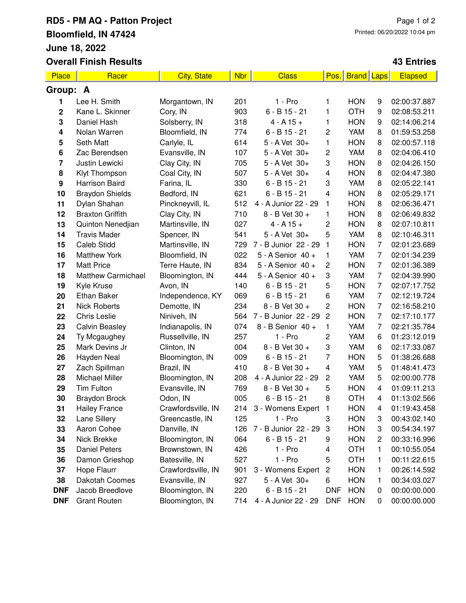## **RD5 - PM AQ - Patton Project Bloomfield, IN 47424 June 18, 2022 Overall Finish Results**

## **43 Entries**

| Place                   | Racer                     | <b>City, State</b> | <b>Nbr</b> | <b>Class</b>         | Pos.                    | <b>Brand</b> | <b>Laps</b>    | Elapsed      |  |
|-------------------------|---------------------------|--------------------|------------|----------------------|-------------------------|--------------|----------------|--------------|--|
| Group: A                |                           |                    |            |                      |                         |              |                |              |  |
| 1                       | Lee H. Smith              | Morgantown, IN     | 201        | $1 - Pro$            | 1                       | <b>HON</b>   | 9              | 02:00:37.887 |  |
| $\mathbf 2$             | Kane L. Skinner           | Cory, IN           | 903        | $6 - B$ 15 - 21      | 1                       | <b>OTH</b>   | 9              | 02:08:53.211 |  |
| 3                       | Daniel Hash               | Solsberry, IN      | 318        | $4 - A 15 +$         | 1                       | <b>HON</b>   | 9              | 02:14:06.214 |  |
| 4                       | Nolan Warren              | Bloomfield, IN     | 774        | $6 - B$ 15 - 21      | 2                       | <b>YAM</b>   | 8              | 01:59:53.258 |  |
| 5                       | Seth Matt                 | Carlyle, IL        | 614        | 5 - A Vet 30+        | 1                       | <b>HON</b>   | 8              | 02:00:57.118 |  |
| 6                       | Zac Berendsen             | Evansville, IN     | 107        | 5 - A Vet 30+        | 2                       | YAM          | 8              | 02:04:06.410 |  |
| $\overline{\mathbf{r}}$ | Justin Lewicki            | Clay City, IN      | 705        | 5 - A Vet 30+        | 3                       | <b>HON</b>   | 8              | 02:04:26.150 |  |
| 8                       | Klyt Thompson             | Coal City, IN      | 507        | 5 - A Vet 30+        | 4                       | <b>HON</b>   | 8              | 02:04:47.380 |  |
| 9                       | Harrison Baird            | Farina, IL         | 330        | $6 - B$ 15 - 21      | 3                       | YAM          | 8              | 02:05:22.141 |  |
| 10                      | <b>Braydon Shields</b>    | Bedford, IN        | 621        | $6 - B$ 15 - 21      | $\overline{\mathbf{4}}$ | <b>HON</b>   | 8              | 02:05:29.171 |  |
| 11                      | Dylan Shahan              | Pinckneyvill, IL   | 512        | 4 - A Junior 22 - 29 | 1                       | <b>HON</b>   | 8              | 02:06:36.471 |  |
| 12                      | <b>Braxton Griffith</b>   | Clay City, IN      | 710        | 8 - B Vet 30 +       | 1                       | <b>HON</b>   | 8              | 02:06:49.832 |  |
| 13                      | Quinton Nenedjian         | Martinsville, IN   | 027        | $4 - A 15 +$         | $\mathbf 2$             | <b>HON</b>   | 8              | 02:07:10.811 |  |
| 14                      | <b>Travis Mader</b>       | Spencer, IN        | 541        | 5 - A Vet 30+        | 5                       | <b>YAM</b>   | 8              | 02:10:46.311 |  |
| 15                      | <b>Caleb Stidd</b>        | Martinsville, IN   | 729        | 7 - B Junior 22 - 29 | 1                       | <b>HON</b>   | 7              | 02:01:23.689 |  |
| 16                      | <b>Matthew York</b>       | Bloomfield, IN     | 022        | 5 - A Senior 40 +    | 1                       | YAM          | 7              | 02:01:34.239 |  |
| 17                      | <b>Matt Price</b>         | Terre Haute, IN    | 834        | 5 - A Senior 40 +    | $\overline{\mathbf{c}}$ | <b>HON</b>   | 7              | 02:01:36.389 |  |
| 18                      | <b>Matthew Carmichael</b> | Bloomington, IN    | 444        | 5 - A Senior 40 +    | 3                       | YAM          | $\overline{7}$ | 02:04:39.990 |  |
| 19                      | Kyle Kruse                | Avon, IN           | 140        | $6 - B$ 15 - 21      | 5                       | <b>HON</b>   | 7              | 02:07:17.752 |  |
| 20                      | Ethan Baker               | Independence, KY   | 069        | $6 - B$ 15 - 21      | 6                       | YAM          | 7              | 02:12:19.724 |  |
| 21                      | <b>Nick Roberts</b>       | Demotte, IN        | 234        | 8 - B Vet 30 +       | $\mathbf 2$             | <b>HON</b>   | 7              | 02:16:58.210 |  |
| 22                      | <b>Chris Leslie</b>       | Niniveh, IN        | 564        | 7 - B Junior 22 - 29 | $\overline{c}$          | <b>HON</b>   | 7              | 02:17:10.177 |  |
| 23                      | <b>Calvin Beasley</b>     | Indianapolis, IN   | 074        | 8 - B Senior 40 +    | 1                       | <b>YAM</b>   | 7              | 02:21:35.784 |  |
| 24                      | Ty Mcgaughey              | Russellville, IN   | 257        | 1 - Pro              | $\overline{c}$          | YAM          | 6              | 01:23:12.019 |  |
| 25                      | Mark Devins Jr            | Clinton, IN        | 004        | 8 - B Vet 30 +       | 3                       | YAM          | 6              | 02:17:33.087 |  |
| 26                      | Hayden Neal               | Bloomington, IN    | 009        | $6 - B$ 15 - 21      | 7                       | <b>HON</b>   | 5              | 01:38:26.688 |  |
| 27                      | Zach Spillman             | Brazil, IN         | 410        | 8 - B Vet 30 +       | $\overline{\mathbf{4}}$ | YAM          | 5              | 01:48:41.473 |  |
| 28                      | Michael Miller            | Bloomington, IN    | 208        | 4 - A Junior 22 - 29 | 2                       | YAM          | 5              | 02:00:00.778 |  |
| 29                      | <b>Tim Fulton</b>         | Evansville, IN     | 769        | 8 - B Vet 30 +       | 5                       | <b>HON</b>   | 4              | 01:09:11.213 |  |
| 30                      | <b>Braydon Brock</b>      | Odon, IN           | 005        | $6 - B$ 15 - 21      | 8                       | <b>OTH</b>   | 4              | 01:13:02.566 |  |
| 31                      | <b>Hailey France</b>      | Crawfordsville, IN | 214        | 3 - Womens Expert    | $\mathbf{1}$            | <b>HON</b>   | 4              | 01:19:43.458 |  |
| 32                      | Lane Sillery              | Greencastle, IN    | 125        | 1 - Pro              | 3                       | <b>HON</b>   | 3              | 00:43:02.140 |  |
| 33                      | Aaron Cohee               | Danville, IN       | 126        | 7 - B Junior 22 - 29 | 3                       | <b>HON</b>   | 3              | 00:54:34.197 |  |
| 34                      | Nick Brekke               | Bloomington, IN    | 064        | $6 - B$ 15 - 21      | 9                       | <b>HON</b>   | 2              | 00:33:16.996 |  |
| 35                      | <b>Daniel Peters</b>      | Brownstown, IN     | 426        | $1 - Pro$            | 4                       | <b>OTH</b>   | 1              | 00:10:55.054 |  |
| 36                      | Damon Grieshop            | Batesville, IN     | 527        | $1 - Pro$            | 5                       | <b>OTH</b>   | 1              | 00:11:22.615 |  |
| 37                      | Hope Flaurr               | Crawfordsville, IN | 901        | 3 - Womens Expert    | $\overline{\mathbf{c}}$ | <b>HON</b>   | 1              | 00:26:14.592 |  |
| 38                      | Dakotah Coomes            | Evansville, IN     | 927        | 5 - A Vet 30+        | 6                       | <b>HON</b>   | 1              | 00:34:03.027 |  |
| <b>DNF</b>              | Jacob Breedlove           | Bloomington, IN    | 220        | $6 - B$ 15 - 21      | <b>DNF</b>              | <b>HON</b>   | 0              | 00:00:00.000 |  |
| <b>DNF</b>              | <b>Grant Routen</b>       | Bloomington, IN    | 714        | 4 - A Junior 22 - 29 | <b>DNF</b>              | <b>HON</b>   | 0              | 00:00:00.000 |  |